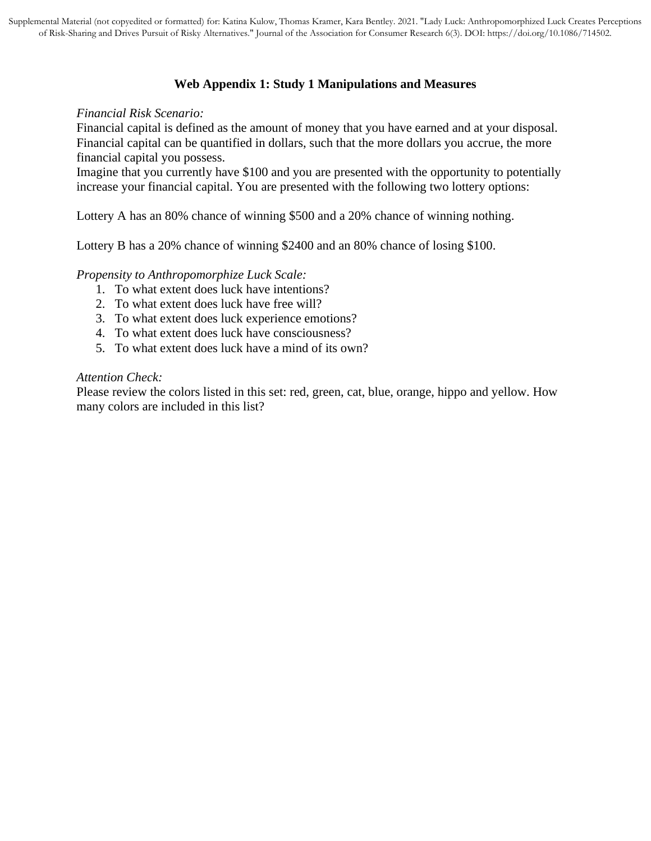## **Web Appendix 1: Study 1 Manipulations and Measures**

#### *Financial Risk Scenario:*

Financial capital is defined as the amount of money that you have earned and at your disposal. Financial capital can be quantified in dollars, such that the more dollars you accrue, the more financial capital you possess.

Imagine that you currently have \$100 and you are presented with the opportunity to potentially increase your financial capital. You are presented with the following two lottery options:

Lottery A has an 80% chance of winning \$500 and a 20% chance of winning nothing.

Lottery B has a 20% chance of winning \$2400 and an 80% chance of losing \$100.

#### *Propensity to Anthropomorphize Luck Scale:*

- 1. To what extent does luck have intentions?
- 2. To what extent does luck have free will?
- 3. To what extent does luck experience emotions?
- 4. To what extent does luck have consciousness?
- 5. To what extent does luck have a mind of its own?

#### *Attention Check:*

Please review the colors listed in this set: red, green, cat, blue, orange, hippo and yellow. How many colors are included in this list?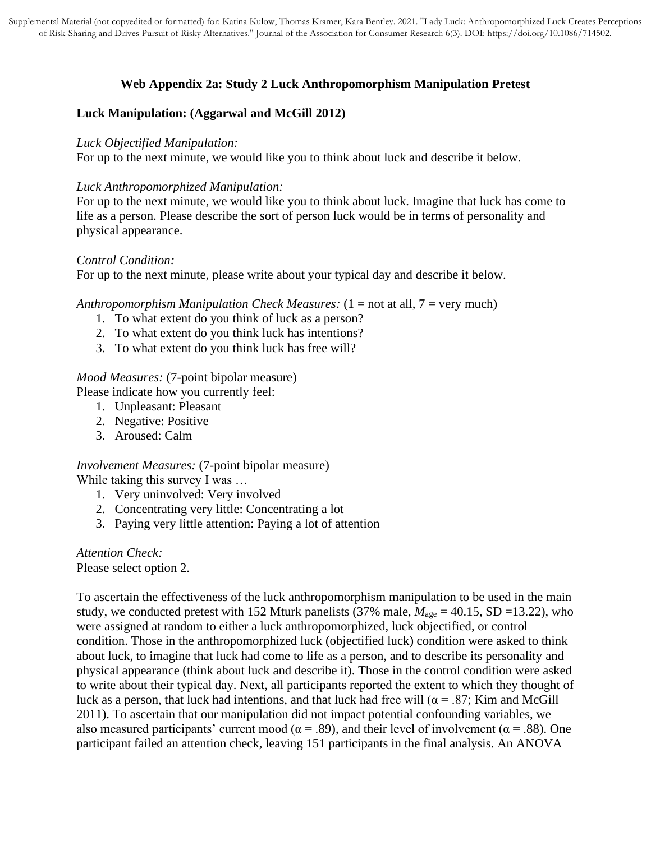# **Web Appendix 2a: Study 2 Luck Anthropomorphism Manipulation Pretest**

# **Luck Manipulation: (Aggarwal and McGill 2012)**

#### *Luck Objectified Manipulation:*

For up to the next minute, we would like you to think about luck and describe it below.

### *Luck Anthropomorphized Manipulation:*

For up to the next minute, we would like you to think about luck. Imagine that luck has come to life as a person. Please describe the sort of person luck would be in terms of personality and physical appearance.

## *Control Condition:*

For up to the next minute, please write about your typical day and describe it below.

### *Anthropomorphism Manipulation Check Measures:* (1 = not at all, 7 = very much)

- 1. To what extent do you think of luck as a person?
- 2. To what extent do you think luck has intentions?
- 3. To what extent do you think luck has free will?

### *Mood Measures:* (7-point bipolar measure)

Please indicate how you currently feel:

- 1. Unpleasant: Pleasant
- 2. Negative: Positive
- 3. Aroused: Calm

## *Involvement Measures:* (7-point bipolar measure)

While taking this survey I was ...

- 1. Very uninvolved: Very involved
- 2. Concentrating very little: Concentrating a lot
- 3. Paying very little attention: Paying a lot of attention

*Attention Check:* Please select option 2.

To ascertain the effectiveness of the luck anthropomorphism manipulation to be used in the main study, we conducted pretest with 152 Mturk panelists (37% male, *M*age = 40.15, SD =13.22), who were assigned at random to either a luck anthropomorphized, luck objectified, or control condition. Those in the anthropomorphized luck (objectified luck) condition were asked to think about luck, to imagine that luck had come to life as a person, and to describe its personality and physical appearance (think about luck and describe it). Those in the control condition were asked to write about their typical day. Next, all participants reported the extent to which they thought of luck as a person, that luck had intentions, and that luck had free will  $(\alpha = .87;$  Kim and McGill 2011). To ascertain that our manipulation did not impact potential confounding variables, we also measured participants' current mood ( $\alpha$  = .89), and their level of involvement ( $\alpha$  = .88). One participant failed an attention check, leaving 151 participants in the final analysis. An ANOVA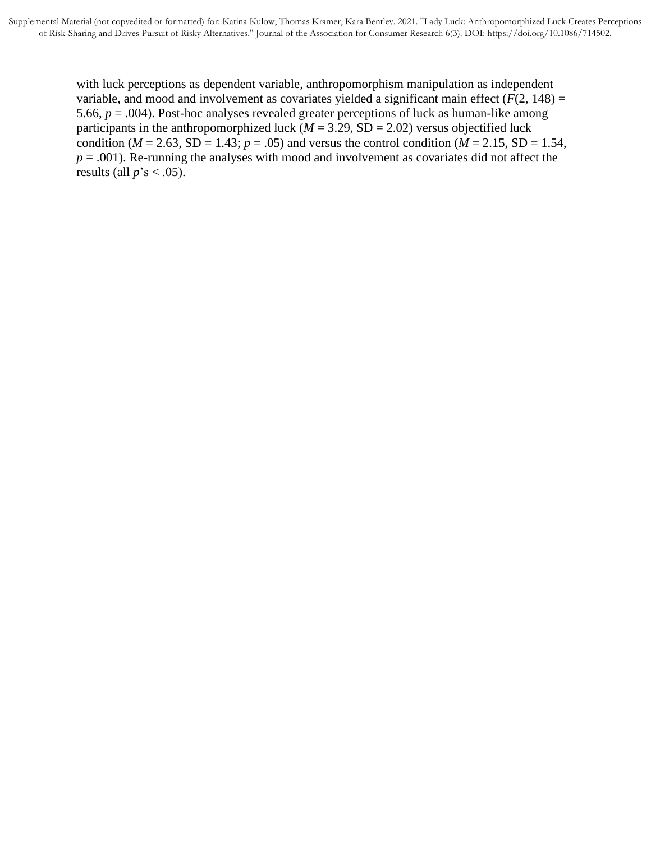with luck perceptions as dependent variable, anthropomorphism manipulation as independent variable, and mood and involvement as covariates yielded a significant main effect  $(F(2, 148))$  = 5.66, *p* = .004). Post-hoc analyses revealed greater perceptions of luck as human-like among participants in the anthropomorphized luck ( $M = 3.29$ , SD = 2.02) versus objectified luck condition ( $M = 2.63$ , SD = 1.43;  $p = .05$ ) and versus the control condition ( $M = 2.15$ , SD = 1.54,  $p = .001$ ). Re-running the analyses with mood and involvement as covariates did not affect the results (all  $p$ 's < .05).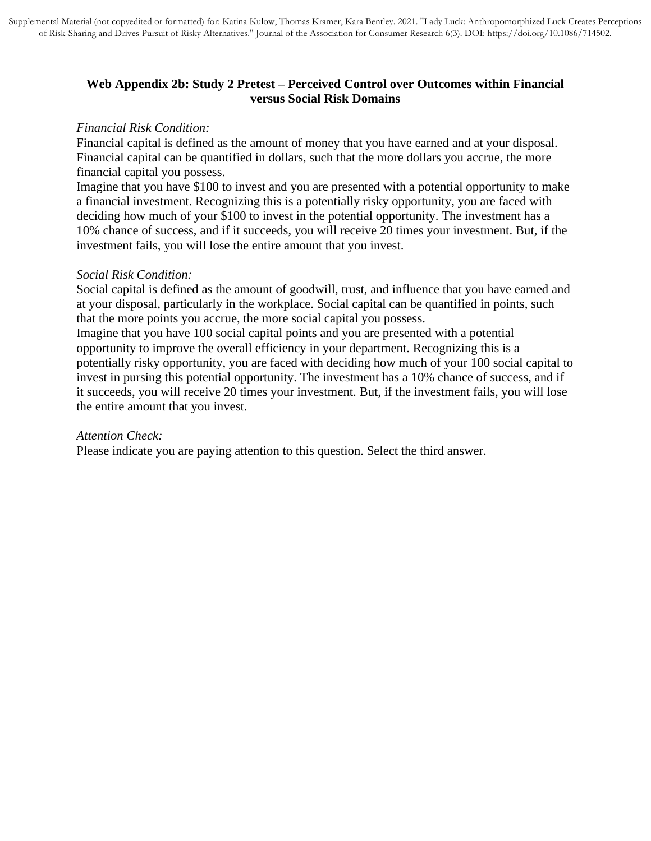# **Web Appendix 2b: Study 2 Pretest – Perceived Control over Outcomes within Financial versus Social Risk Domains**

### *Financial Risk Condition:*

Financial capital is defined as the amount of money that you have earned and at your disposal. Financial capital can be quantified in dollars, such that the more dollars you accrue, the more financial capital you possess.

Imagine that you have \$100 to invest and you are presented with a potential opportunity to make a financial investment. Recognizing this is a potentially risky opportunity, you are faced with deciding how much of your \$100 to invest in the potential opportunity. The investment has a 10% chance of success, and if it succeeds, you will receive 20 times your investment. But, if the investment fails, you will lose the entire amount that you invest.

## *Social Risk Condition:*

Social capital is defined as the amount of goodwill, trust, and influence that you have earned and at your disposal, particularly in the workplace. Social capital can be quantified in points, such that the more points you accrue, the more social capital you possess.

Imagine that you have 100 social capital points and you are presented with a potential opportunity to improve the overall efficiency in your department. Recognizing this is a potentially risky opportunity, you are faced with deciding how much of your 100 social capital to invest in pursing this potential opportunity. The investment has a 10% chance of success, and if it succeeds, you will receive 20 times your investment. But, if the investment fails, you will lose the entire amount that you invest.

## *Attention Check:*

Please indicate you are paying attention to this question. Select the third answer.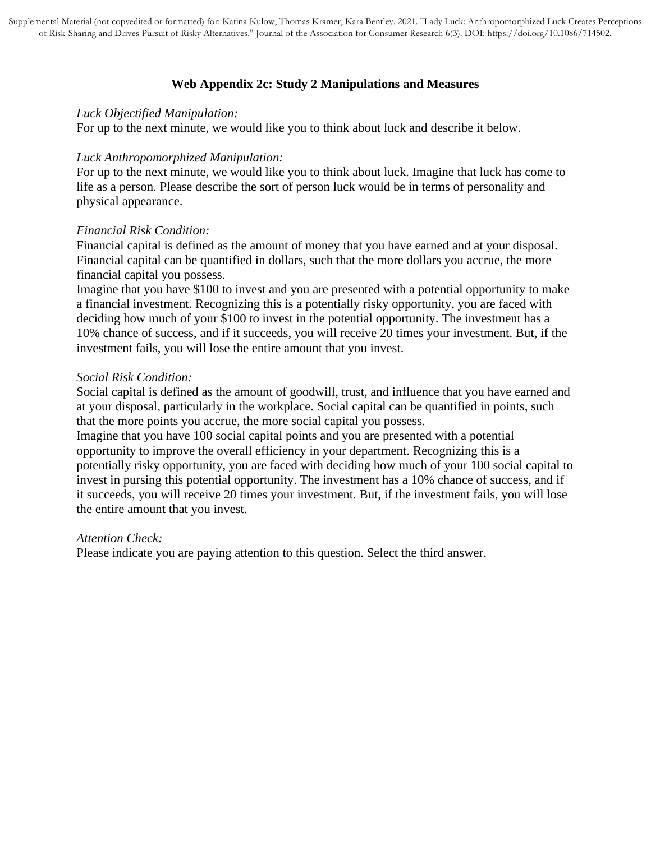# **Web Appendix 2c: Study 2 Manipulations and Measures**

#### *Luck Objectified Manipulation:*

For up to the next minute, we would like you to think about luck and describe it below.

### *Luck Anthropomorphized Manipulation:*

For up to the next minute, we would like you to think about luck. Imagine that luck has come to life as a person. Please describe the sort of person luck would be in terms of personality and physical appearance.

## *Financial Risk Condition:*

Financial capital is defined as the amount of money that you have earned and at your disposal. Financial capital can be quantified in dollars, such that the more dollars you accrue, the more financial capital you possess.

Imagine that you have \$100 to invest and you are presented with a potential opportunity to make a financial investment. Recognizing this is a potentially risky opportunity, you are faced with deciding how much of your \$100 to invest in the potential opportunity. The investment has a 10% chance of success, and if it succeeds, you will receive 20 times your investment. But, if the investment fails, you will lose the entire amount that you invest.

### *Social Risk Condition:*

Social capital is defined as the amount of goodwill, trust, and influence that you have earned and at your disposal, particularly in the workplace. Social capital can be quantified in points, such that the more points you accrue, the more social capital you possess.

Imagine that you have 100 social capital points and you are presented with a potential opportunity to improve the overall efficiency in your department. Recognizing this is a potentially risky opportunity, you are faced with deciding how much of your 100 social capital to invest in pursing this potential opportunity. The investment has a 10% chance of success, and if it succeeds, you will receive 20 times your investment. But, if the investment fails, you will lose the entire amount that you invest.

## *Attention Check:*

Please indicate you are paying attention to this question. Select the third answer.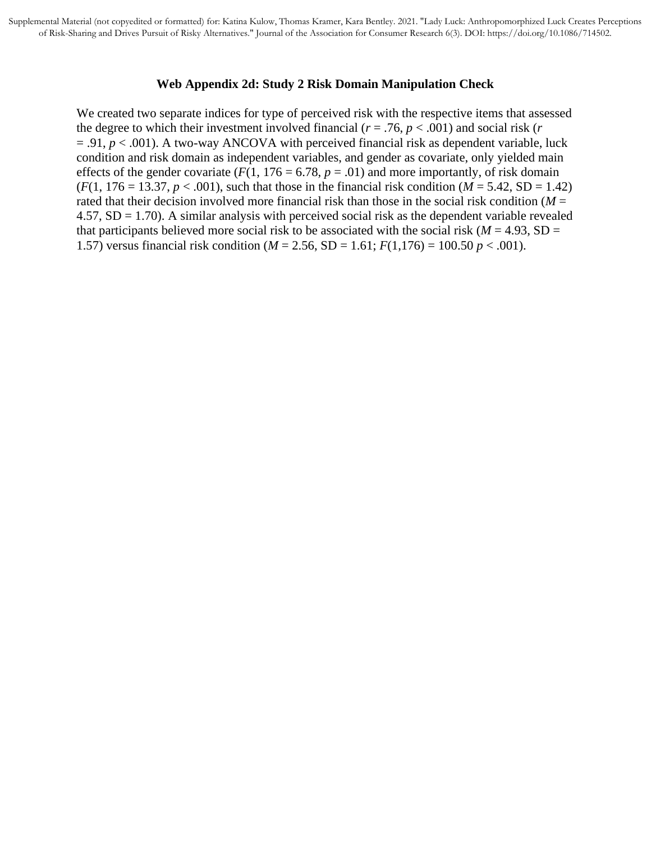#### **Web Appendix 2d: Study 2 Risk Domain Manipulation Check**

We created two separate indices for type of perceived risk with the respective items that assessed the degree to which their investment involved financial ( $r = .76$ ,  $p < .001$ ) and social risk ( $r = .76$ )  $= .91, p < .001$ ). A two-way ANCOVA with perceived financial risk as dependent variable, luck condition and risk domain as independent variables, and gender as covariate, only yielded main effects of the gender covariate ( $F(1, 176 = 6.78, p = .01$ ) and more importantly, of risk domain  $(F(1, 176 = 13.37, p < .001)$ , such that those in the financial risk condition  $(M = 5.42, SD = 1.42)$ rated that their decision involved more financial risk than those in the social risk condition ( $M =$  $4.57$ ,  $SD = 1.70$ ). A similar analysis with perceived social risk as the dependent variable revealed that participants believed more social risk to be associated with the social risk ( $M = 4.93$ , SD = 1.57) versus financial risk condition (*M* = 2.56, SD = 1.61; *F*(1,176) = 100.50 *p* < .001).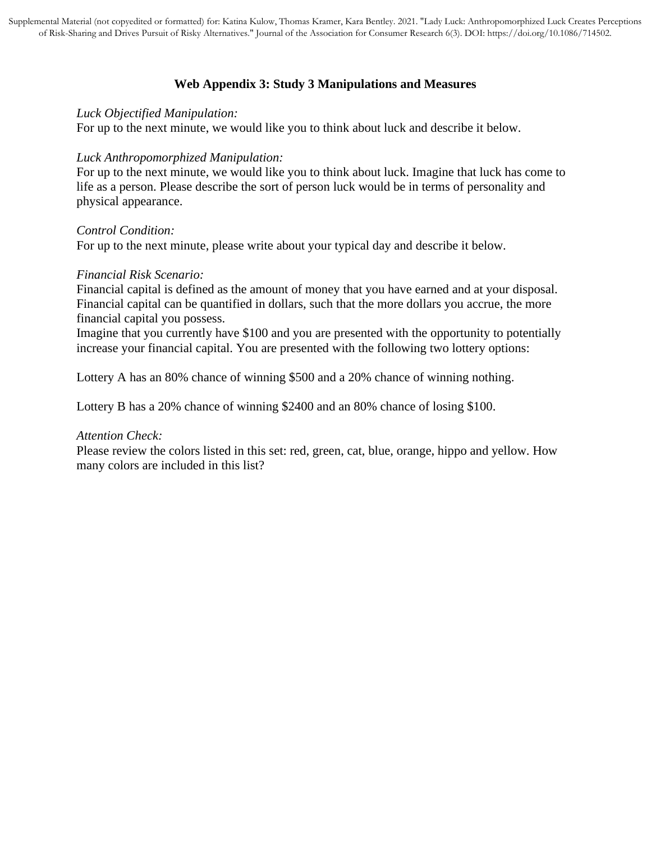# **Web Appendix 3: Study 3 Manipulations and Measures**

#### *Luck Objectified Manipulation:*

For up to the next minute, we would like you to think about luck and describe it below.

### *Luck Anthropomorphized Manipulation:*

For up to the next minute, we would like you to think about luck. Imagine that luck has come to life as a person. Please describe the sort of person luck would be in terms of personality and physical appearance.

*Control Condition:*

For up to the next minute, please write about your typical day and describe it below.

### *Financial Risk Scenario:*

Financial capital is defined as the amount of money that you have earned and at your disposal. Financial capital can be quantified in dollars, such that the more dollars you accrue, the more financial capital you possess.

Imagine that you currently have \$100 and you are presented with the opportunity to potentially increase your financial capital. You are presented with the following two lottery options:

Lottery A has an 80% chance of winning \$500 and a 20% chance of winning nothing.

Lottery B has a 20% chance of winning \$2400 and an 80% chance of losing \$100.

## *Attention Check:*

Please review the colors listed in this set: red, green, cat, blue, orange, hippo and yellow. How many colors are included in this list?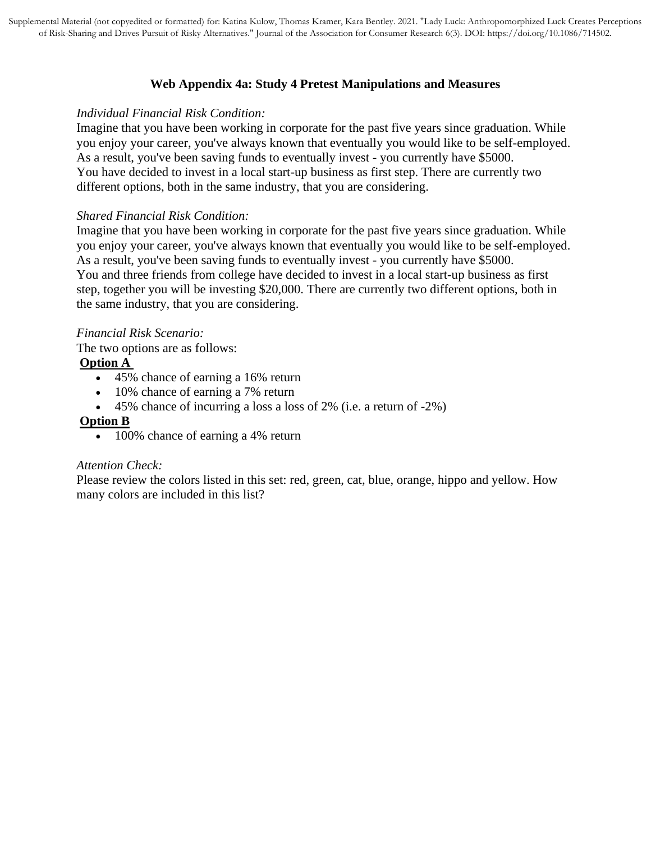# **Web Appendix 4a: Study 4 Pretest Manipulations and Measures**

### *Individual Financial Risk Condition:*

Imagine that you have been working in corporate for the past five years since graduation. While you enjoy your career, you've always known that eventually you would like to be self-employed. As a result, you've been saving funds to eventually invest - you currently have \$5000. You have decided to invest in a local start-up business as first step. There are currently two different options, both in the same industry, that you are considering.

## *Shared Financial Risk Condition:*

Imagine that you have been working in corporate for the past five years since graduation. While you enjoy your career, you've always known that eventually you would like to be self-employed. As a result, you've been saving funds to eventually invest - you currently have \$5000. You and three friends from college have decided to invest in a local start-up business as first step, together you will be investing \$20,000. There are currently two different options, both in the same industry, that you are considering.

# *Financial Risk Scenario:*

The two options are as follows:

# **Option A**

- 45% chance of earning a 16% return
- 10% chance of earning a 7% return
- 45% chance of incurring a loss a loss of 2% (i.e. a return of -2%)

## **Option B**

• 100% chance of earning a 4% return

## *Attention Check:*

Please review the colors listed in this set: red, green, cat, blue, orange, hippo and yellow. How many colors are included in this list?